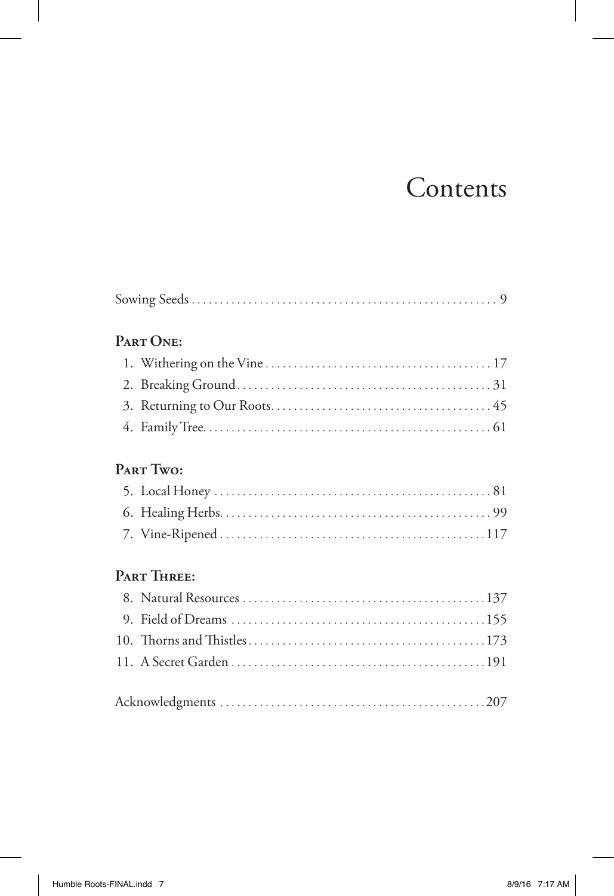# Contents

| PART ONE:        |
|------------------|
|                  |
|                  |
|                  |
|                  |
| <b>PART TWO:</b> |
|                  |
|                  |
|                  |
| PART THREE:      |
|                  |
|                  |
|                  |
|                  |
|                  |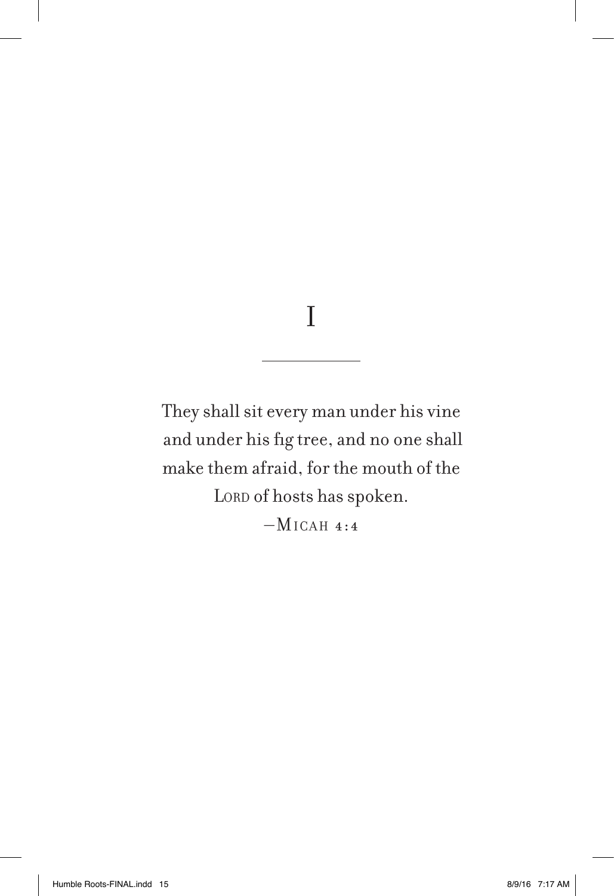## I

They shall sit every man under his vine and under his fig tree, and no one shall make them afraid, for the mouth of the LORD of hosts has spoken.  $-MICAH 4:4$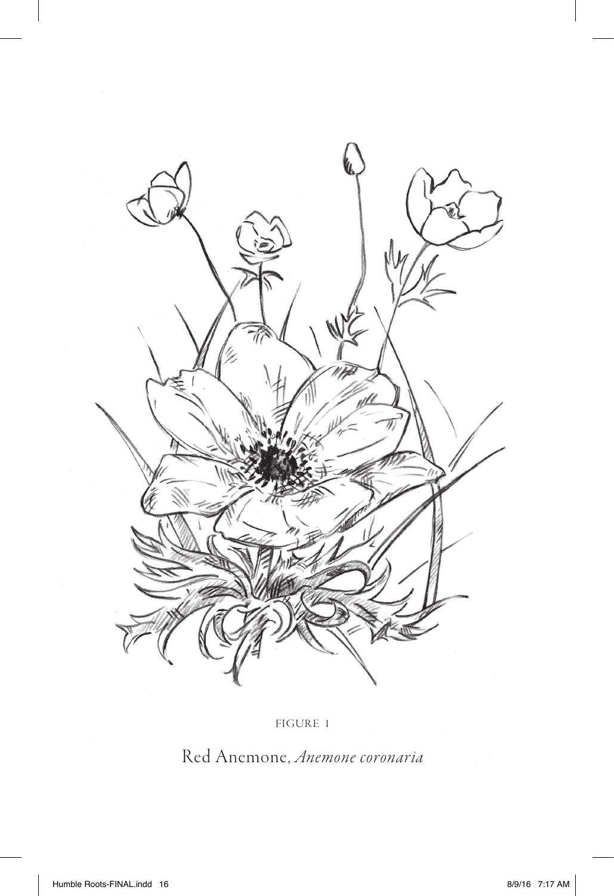

FIGURE 1

Red Anemone, *Anemone coronaria*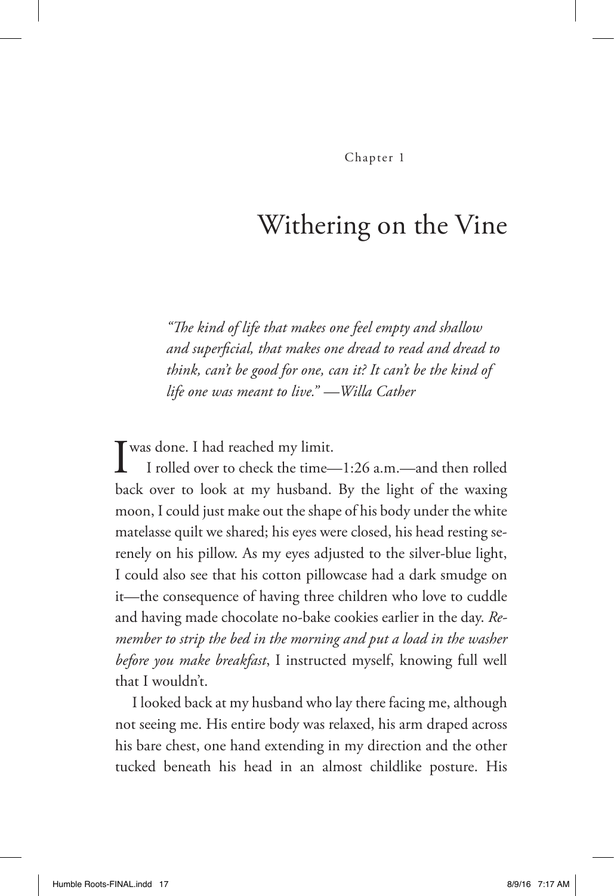### Withering on the Vine

*"The kind of life that makes one feel empty and shallow and superficial, that makes one dread to read and dread to think, can't be good for one, can it? It can't be the kind of life one was meant to live." —Willa Cather*

I was done. I had reached my limit.

I rolled over to check the time—1:26 a.m.—and then rolled back over to look at my husband. By the light of the waxing moon, I could just make out the shape of his body under the white matelasse quilt we shared; his eyes were closed, his head resting serenely on his pillow. As my eyes adjusted to the silver-blue light, I could also see that his cotton pillowcase had a dark smudge on it—the consequence of having three children who love to cuddle and having made chocolate no-bake cookies earlier in the day. *Remember to strip the bed in the morning and put a load in the washer before you make breakfast*, I instructed myself, knowing full well that I wouldn't.

I looked back at my husband who lay there facing me, although not seeing me. His entire body was relaxed, his arm draped across his bare chest, one hand extending in my direction and the other tucked beneath his head in an almost childlike posture. His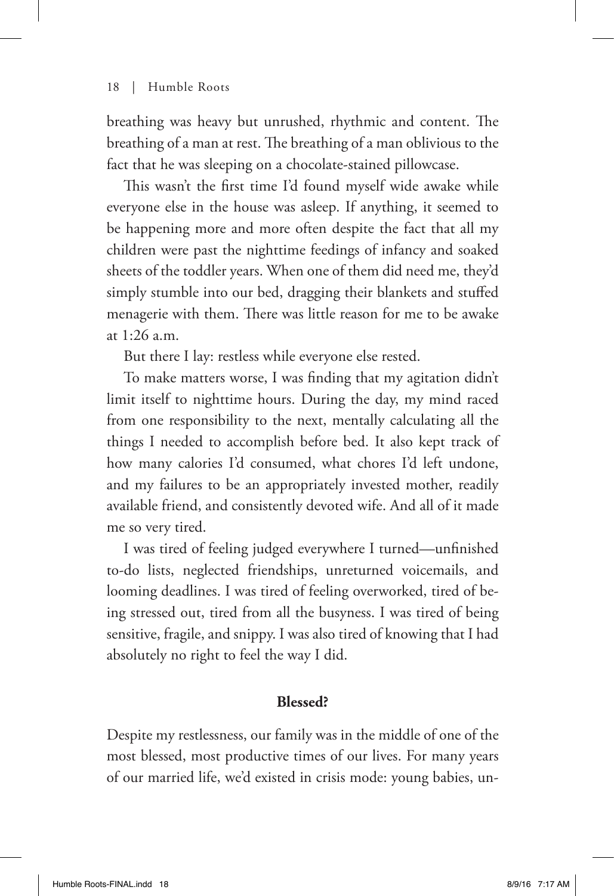breathing was heavy but unrushed, rhythmic and content. The breathing of a man at rest. The breathing of a man oblivious to the fact that he was sleeping on a chocolate-stained pillowcase.

This wasn't the first time I'd found myself wide awake while everyone else in the house was asleep. If anything, it seemed to be happening more and more often despite the fact that all my children were past the nighttime feedings of infancy and soaked sheets of the toddler years. When one of them did need me, they'd simply stumble into our bed, dragging their blankets and stuffed menagerie with them. There was little reason for me to be awake at 1:26 a.m.

But there I lay: restless while everyone else rested.

To make matters worse, I was finding that my agitation didn't limit itself to nighttime hours. During the day, my mind raced from one responsibility to the next, mentally calculating all the things I needed to accomplish before bed. It also kept track of how many calories I'd consumed, what chores I'd left undone, and my failures to be an appropriately invested mother, readily available friend, and consistently devoted wife. And all of it made me so very tired.

I was tired of feeling judged everywhere I turned—unfinished to-do lists, neglected friendships, unreturned voicemails, and looming deadlines. I was tired of feeling overworked, tired of being stressed out, tired from all the busyness. I was tired of being sensitive, fragile, and snippy. I was also tired of knowing that I had absolutely no right to feel the way I did.

#### **Blessed?**

Despite my restlessness, our family was in the middle of one of the most blessed, most productive times of our lives. For many years of our married life, we'd existed in crisis mode: young babies, un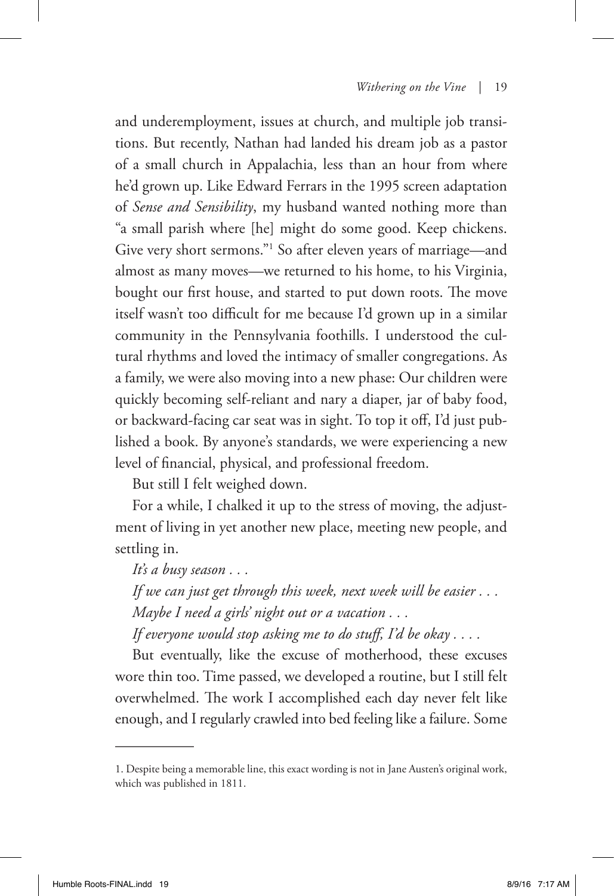and underemployment, issues at church, and multiple job transitions. But recently, Nathan had landed his dream job as a pastor of a small church in Appalachia, less than an hour from where he'd grown up. Like Edward Ferrars in the 1995 screen adaptation of *Sense and Sensibility*, my husband wanted nothing more than "a small parish where [he] might do some good. Keep chickens. Give very short sermons."1 So after eleven years of marriage—and almost as many moves—we returned to his home, to his Virginia, bought our first house, and started to put down roots. The move itself wasn't too difficult for me because I'd grown up in a similar community in the Pennsylvania foothills. I understood the cultural rhythms and loved the intimacy of smaller congregations. As a family, we were also moving into a new phase: Our children were quickly becoming self-reliant and nary a diaper, jar of baby food, or backward-facing car seat was in sight. To top it off, I'd just published a book. By anyone's standards, we were experiencing a new level of financial, physical, and professional freedom.

But still I felt weighed down.

For a while, I chalked it up to the stress of moving, the adjustment of living in yet another new place, meeting new people, and settling in.

*It's a busy season . . .*

*If we can just get through this week, next week will be easier . . . Maybe I need a girls' night out or a vacation . . .*

*If everyone would stop asking me to do stuff, I'd be okay . . . .*

But eventually, like the excuse of motherhood, these excuses wore thin too. Time passed, we developed a routine, but I still felt overwhelmed. The work I accomplished each day never felt like enough, and I regularly crawled into bed feeling like a failure. Some

<sup>1.</sup> Despite being a memorable line, this exact wording is not in Jane Austen's original work, which was published in 1811.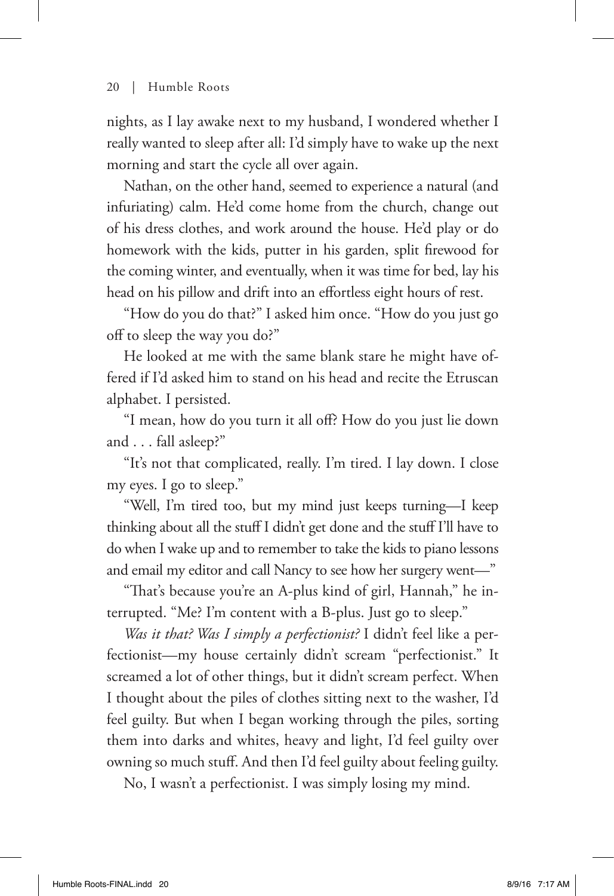nights, as I lay awake next to my husband, I wondered whether I really wanted to sleep after all: I'd simply have to wake up the next morning and start the cycle all over again.

Nathan, on the other hand, seemed to experience a natural (and infuriating) calm. He'd come home from the church, change out of his dress clothes, and work around the house. He'd play or do homework with the kids, putter in his garden, split firewood for the coming winter, and eventually, when it was time for bed, lay his head on his pillow and drift into an effortless eight hours of rest.

"How do you do that?" I asked him once. "How do you just go off to sleep the way you do?"

He looked at me with the same blank stare he might have offered if I'd asked him to stand on his head and recite the Etruscan alphabet. I persisted.

"I mean, how do you turn it all off? How do you just lie down and . . . fall asleep?"

"It's not that complicated, really. I'm tired. I lay down. I close my eyes. I go to sleep."

"Well, I'm tired too, but my mind just keeps turning—I keep thinking about all the stuff I didn't get done and the stuff I'll have to do when I wake up and to remember to take the kids to piano lessons and email my editor and call Nancy to see how her surgery went—"

"That's because you're an A-plus kind of girl, Hannah," he interrupted. "Me? I'm content with a B-plus. Just go to sleep."

*Was it that? Was I simply a perfectionist?* I didn't feel like a perfectionist—my house certainly didn't scream "perfectionist." It screamed a lot of other things, but it didn't scream perfect. When I thought about the piles of clothes sitting next to the washer, I'd feel guilty. But when I began working through the piles, sorting them into darks and whites, heavy and light, I'd feel guilty over owning so much stuff. And then I'd feel guilty about feeling guilty.

No, I wasn't a perfectionist. I was simply losing my mind.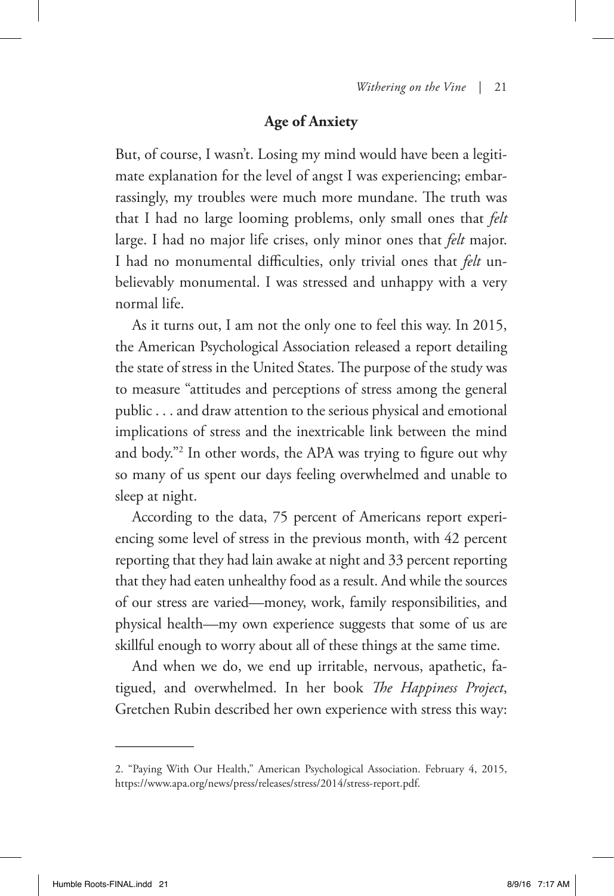#### **Age of Anxiety**

But, of course, I wasn't. Losing my mind would have been a legitimate explanation for the level of angst I was experiencing; embarrassingly, my troubles were much more mundane. The truth was that I had no large looming problems, only small ones that *felt*  large. I had no major life crises, only minor ones that *felt* major. I had no monumental difficulties, only trivial ones that *felt* unbelievably monumental. I was stressed and unhappy with a very normal life.

As it turns out, I am not the only one to feel this way. In 2015, the American Psychological Association released a report detailing the state of stress in the United States. The purpose of the study was to measure "attitudes and perceptions of stress among the general public . . . and draw attention to the serious physical and emotional implications of stress and the inextricable link between the mind and body."2 In other words, the APA was trying to figure out why so many of us spent our days feeling overwhelmed and unable to sleep at night.

According to the data, 75 percent of Americans report experiencing some level of stress in the previous month, with 42 percent reporting that they had lain awake at night and 33 percent reporting that they had eaten unhealthy food as a result. And while the sources of our stress are varied—money, work, family responsibilities, and physical health—my own experience suggests that some of us are skillful enough to worry about all of these things at the same time.

And when we do, we end up irritable, nervous, apathetic, fatigued, and overwhelmed. In her book *The Happiness Project*, Gretchen Rubin described her own experience with stress this way:

<sup>2. &</sup>quot;Paying With Our Health," American Psychological Association. February 4, 2015, https://www.apa.org/news/press/releases/stress/2014/stress-report.pdf.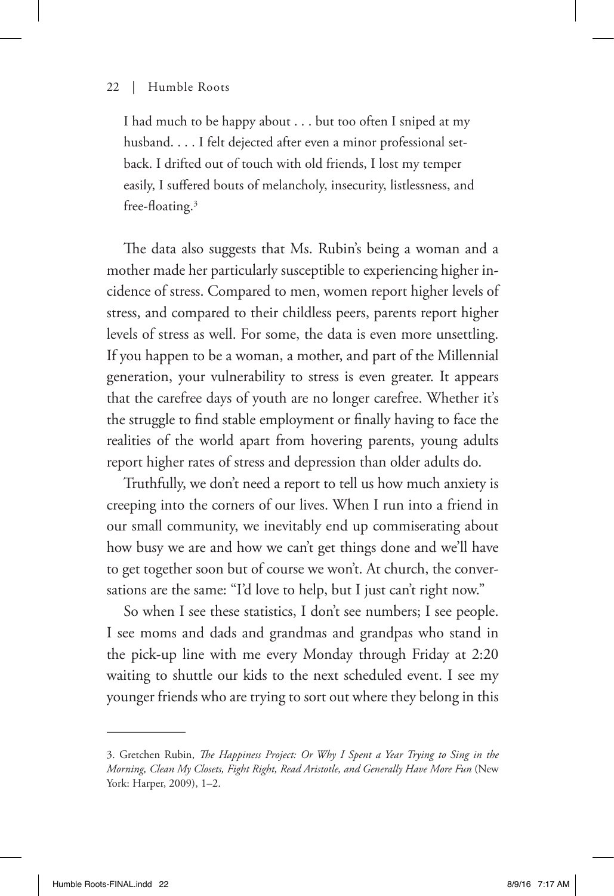#### 22 | Humble Roots

I had much to be happy about . . . but too often I sniped at my husband. . . . I felt dejected after even a minor professional setback. I drifted out of touch with old friends, I lost my temper easily, I suffered bouts of melancholy, insecurity, listlessness, and free-floating.3

The data also suggests that Ms. Rubin's being a woman and a mother made her particularly susceptible to experiencing higher incidence of stress. Compared to men, women report higher levels of stress, and compared to their childless peers, parents report higher levels of stress as well. For some, the data is even more unsettling. If you happen to be a woman, a mother, and part of the Millennial generation, your vulnerability to stress is even greater. It appears that the carefree days of youth are no longer carefree. Whether it's the struggle to find stable employment or finally having to face the realities of the world apart from hovering parents, young adults report higher rates of stress and depression than older adults do.

Truthfully, we don't need a report to tell us how much anxiety is creeping into the corners of our lives. When I run into a friend in our small community, we inevitably end up commiserating about how busy we are and how we can't get things done and we'll have to get together soon but of course we won't. At church, the conversations are the same: "I'd love to help, but I just can't right now."

So when I see these statistics, I don't see numbers; I see people. I see moms and dads and grandmas and grandpas who stand in the pick-up line with me every Monday through Friday at 2:20 waiting to shuttle our kids to the next scheduled event. I see my younger friends who are trying to sort out where they belong in this

<sup>3.</sup> Gretchen Rubin, *The Happiness Project: Or Why I Spent a Year Trying to Sing in the Morning, Clean My Closets, Fight Right, Read Aristotle, and Generally Have More Fun* (New York: Harper, 2009), 1–2.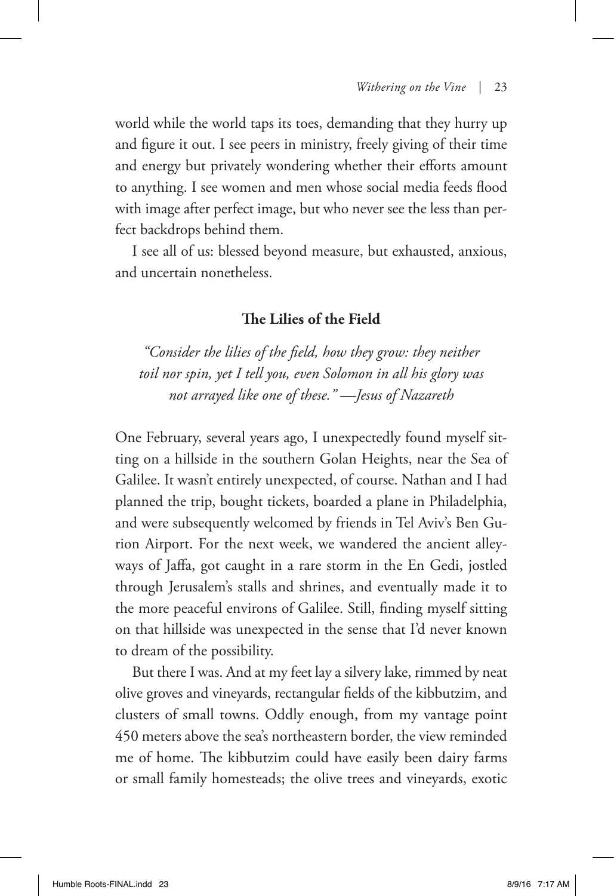world while the world taps its toes, demanding that they hurry up and figure it out. I see peers in ministry, freely giving of their time and energy but privately wondering whether their efforts amount to anything. I see women and men whose social media feeds flood with image after perfect image, but who never see the less than perfect backdrops behind them.

I see all of us: blessed beyond measure, but exhausted, anxious, and uncertain nonetheless.

#### **The Lilies of the Field**

*"Consider the lilies of the field, how they grow: they neither toil nor spin, yet I tell you, even Solomon in all his glory was not arrayed like one of these." —Jesus of Nazareth*

One February, several years ago, I unexpectedly found myself sitting on a hillside in the southern Golan Heights, near the Sea of Galilee. It wasn't entirely unexpected, of course. Nathan and I had planned the trip, bought tickets, boarded a plane in Philadelphia, and were subsequently welcomed by friends in Tel Aviv's Ben Gurion Airport. For the next week, we wandered the ancient alleyways of Jaffa, got caught in a rare storm in the En Gedi, jostled through Jerusalem's stalls and shrines, and eventually made it to the more peaceful environs of Galilee. Still, finding myself sitting on that hillside was unexpected in the sense that I'd never known to dream of the possibility.

But there I was. And at my feet lay a silvery lake, rimmed by neat olive groves and vineyards, rectangular fields of the kibbutzim, and clusters of small towns. Oddly enough, from my vantage point 450 meters above the sea's northeastern border, the view reminded me of home. The kibbutzim could have easily been dairy farms or small family homesteads; the olive trees and vineyards, exotic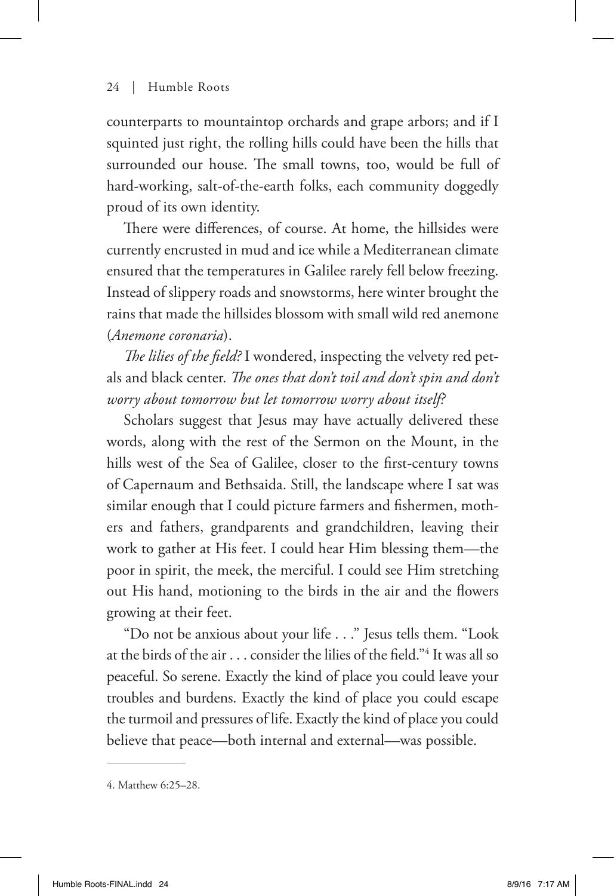counterparts to mountaintop orchards and grape arbors; and if I squinted just right, the rolling hills could have been the hills that surrounded our house. The small towns, too, would be full of hard-working, salt-of-the-earth folks, each community doggedly proud of its own identity.

There were differences, of course. At home, the hillsides were currently encrusted in mud and ice while a Mediterranean climate ensured that the temperatures in Galilee rarely fell below freezing. Instead of slippery roads and snowstorms, here winter brought the rains that made the hillsides blossom with small wild red anemone (*Anemone coronaria*).

*The lilies of the field?* I wondered, inspecting the velvety red petals and black center. *The ones that don't toil and don't spin and don't worry about tomorrow but let tomorrow worry about itself?* 

Scholars suggest that Jesus may have actually delivered these words, along with the rest of the Sermon on the Mount, in the hills west of the Sea of Galilee, closer to the first-century towns of Capernaum and Bethsaida. Still, the landscape where I sat was similar enough that I could picture farmers and fishermen, mothers and fathers, grandparents and grandchildren, leaving their work to gather at His feet. I could hear Him blessing them—the poor in spirit, the meek, the merciful. I could see Him stretching out His hand, motioning to the birds in the air and the flowers growing at their feet.

"Do not be anxious about your life . . ." Jesus tells them. "Look at the birds of the air  $\ldots$  consider the lilies of the field." $^4$  It was all so peaceful. So serene. Exactly the kind of place you could leave your troubles and burdens. Exactly the kind of place you could escape the turmoil and pressures of life. Exactly the kind of place you could believe that peace—both internal and external—was possible.

<sup>4.</sup> Matthew 6:25–28.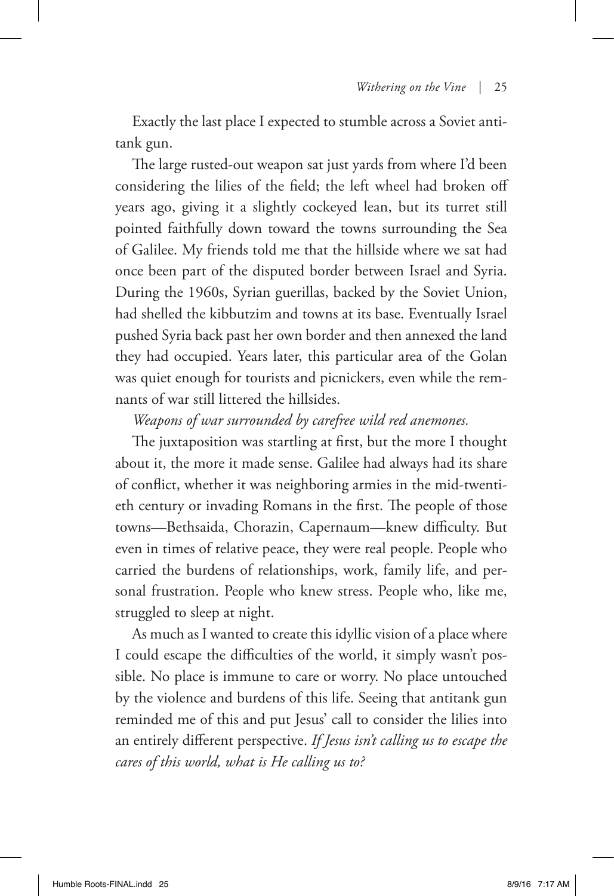Exactly the last place I expected to stumble across a Soviet antitank gun.

The large rusted-out weapon sat just yards from where I'd been considering the lilies of the field; the left wheel had broken off years ago, giving it a slightly cockeyed lean, but its turret still pointed faithfully down toward the towns surrounding the Sea of Galilee. My friends told me that the hillside where we sat had once been part of the disputed border between Israel and Syria. During the 1960s, Syrian guerillas, backed by the Soviet Union, had shelled the kibbutzim and towns at its base. Eventually Israel pushed Syria back past her own border and then annexed the land they had occupied. Years later, this particular area of the Golan was quiet enough for tourists and picnickers, even while the remnants of war still littered the hillsides.

### *Weapons of war surrounded by carefree wild red anemones.*

The juxtaposition was startling at first, but the more I thought about it, the more it made sense. Galilee had always had its share of conflict, whether it was neighboring armies in the mid-twentieth century or invading Romans in the first. The people of those towns—Bethsaida, Chorazin, Capernaum—knew difficulty. But even in times of relative peace, they were real people. People who carried the burdens of relationships, work, family life, and personal frustration. People who knew stress. People who, like me, struggled to sleep at night.

As much as I wanted to create this idyllic vision of a place where I could escape the difficulties of the world, it simply wasn't possible. No place is immune to care or worry. No place untouched by the violence and burdens of this life. Seeing that antitank gun reminded me of this and put Jesus' call to consider the lilies into an entirely different perspective. *If Jesus isn't calling us to escape the cares of this world, what is He calling us to?*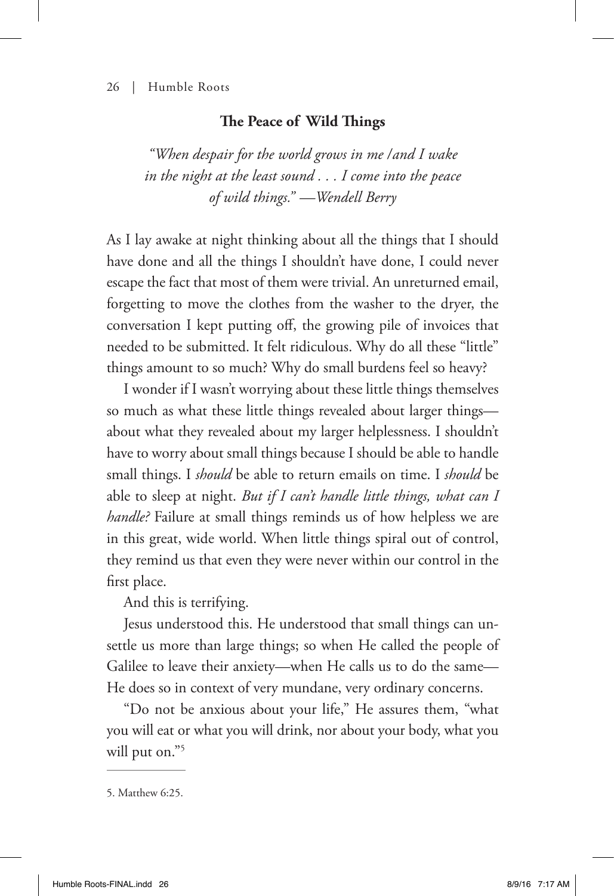#### **The Peace of Wild Things**

*"When despair for the world grows in me / and I wake in the night at the least sound . . . I come into the peace of wild things." —Wendell Berry*

As I lay awake at night thinking about all the things that I should have done and all the things I shouldn't have done, I could never escape the fact that most of them were trivial. An unreturned email, forgetting to move the clothes from the washer to the dryer, the conversation I kept putting off, the growing pile of invoices that needed to be submitted. It felt ridiculous. Why do all these "little" things amount to so much? Why do small burdens feel so heavy?

I wonder if I wasn't worrying about these little things themselves so much as what these little things revealed about larger things about what they revealed about my larger helplessness. I shouldn't have to worry about small things because I should be able to handle small things. I *should* be able to return emails on time. I *should* be able to sleep at night. *But if I can't handle little things, what can I handle?* Failure at small things reminds us of how helpless we are in this great, wide world. When little things spiral out of control, they remind us that even they were never within our control in the first place.

And this is terrifying.

Jesus understood this. He understood that small things can unsettle us more than large things; so when He called the people of Galilee to leave their anxiety—when He calls us to do the same— He does so in context of very mundane, very ordinary concerns.

"Do not be anxious about your life," He assures them, "what you will eat or what you will drink, nor about your body, what you will put on."<sup>5</sup>

<sup>5.</sup> Matthew 6:25.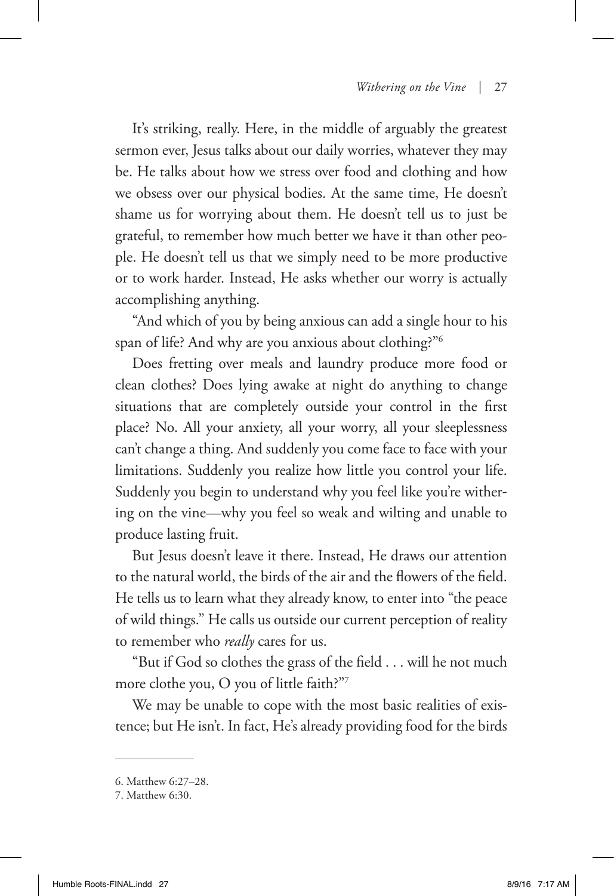It's striking, really. Here, in the middle of arguably the greatest sermon ever, Jesus talks about our daily worries, whatever they may be. He talks about how we stress over food and clothing and how we obsess over our physical bodies. At the same time, He doesn't shame us for worrying about them. He doesn't tell us to just be grateful, to remember how much better we have it than other people. He doesn't tell us that we simply need to be more productive or to work harder. Instead, He asks whether our worry is actually accomplishing anything.

"And which of you by being anxious can add a single hour to his span of life? And why are you anxious about clothing?"6

Does fretting over meals and laundry produce more food or clean clothes? Does lying awake at night do anything to change situations that are completely outside your control in the first place? No. All your anxiety, all your worry, all your sleeplessness can't change a thing. And suddenly you come face to face with your limitations. Suddenly you realize how little you control your life. Suddenly you begin to understand why you feel like you're withering on the vine—why you feel so weak and wilting and unable to produce lasting fruit.

But Jesus doesn't leave it there. Instead, He draws our attention to the natural world, the birds of the air and the flowers of the field. He tells us to learn what they already know, to enter into "the peace of wild things." He calls us outside our current perception of reality to remember who *really* cares for us.

"But if God so clothes the grass of the field . . . will he not much more clothe you, O you of little faith?"7

We may be unable to cope with the most basic realities of existence; but He isn't. In fact, He's already providing food for the birds

<sup>6.</sup> Matthew 6:27–28.

<sup>7.</sup> Matthew 6:30.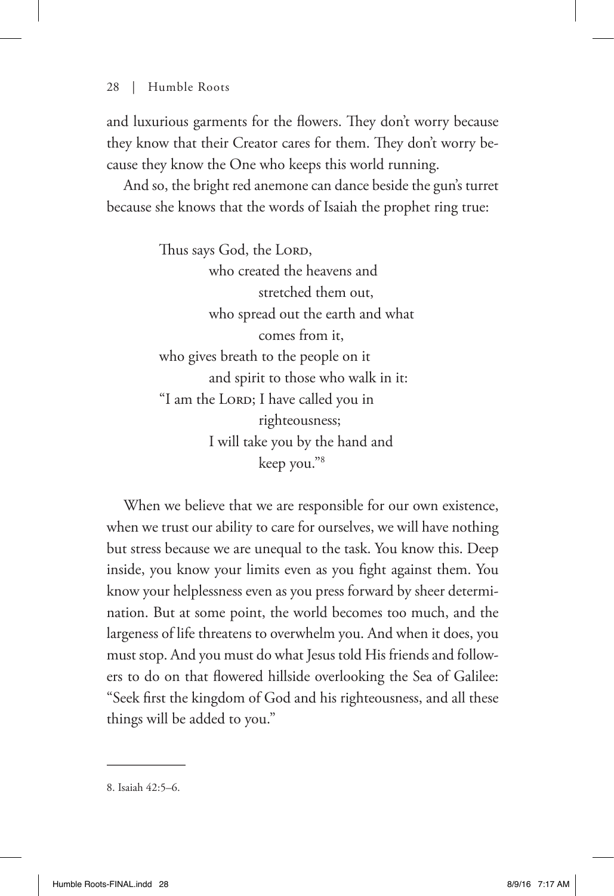and luxurious garments for the flowers. They don't worry because they know that their Creator cares for them. They don't worry because they know the One who keeps this world running.

And so, the bright red anemone can dance beside the gun's turret because she knows that the words of Isaiah the prophet ring true:

> Thus says God, the LORD, who created the heavens and stretched them out, who spread out the earth and what comes from it, who gives breath to the people on it and spirit to those who walk in it: "I am the Lord; I have called you in righteousness; I will take you by the hand and keep you."8

When we believe that we are responsible for our own existence, when we trust our ability to care for ourselves, we will have nothing but stress because we are unequal to the task. You know this. Deep inside, you know your limits even as you fight against them. You know your helplessness even as you press forward by sheer determination. But at some point, the world becomes too much, and the largeness of life threatens to overwhelm you. And when it does, you must stop. And you must do what Jesus told His friends and followers to do on that flowered hillside overlooking the Sea of Galilee: "Seek first the kingdom of God and his righteousness, and all these things will be added to you."

<sup>8.</sup> Isaiah 42:5–6.